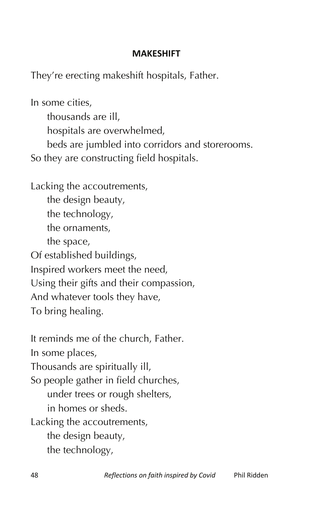## **MAKESHIFT**

They're erecting makeshift hospitals, Father.

In some cities,

thousands are ill,

hospitals are overwhelmed,

beds are jumbled into corridors and storerooms.

So they are constructing field hospitals.

Lacking the accoutrements, the design beauty, the technology, the ornaments, the space, Of established buildings, Inspired workers meet the need, Using their gifts and their compassion, And whatever tools they have, To bring healing.

It reminds me of the church, Father. In some places, Thousands are spiritually ill, So people gather in field churches, under trees or rough shelters, in homes or sheds. Lacking the accoutrements, the design beauty, the technology,